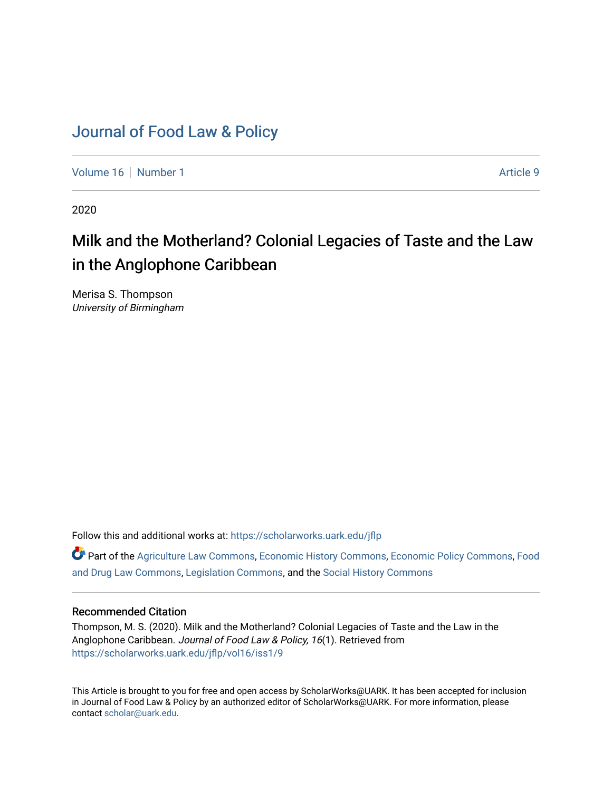# [Journal of Food Law & Policy](https://scholarworks.uark.edu/jflp)

[Volume 16](https://scholarworks.uark.edu/jflp/vol16) [Number 1](https://scholarworks.uark.edu/jflp/vol16/iss1) Article 9

2020

# Milk and the Motherland? Colonial Legacies of Taste and the Law in the Anglophone Caribbean

Merisa S. Thompson University of Birmingham

Follow this and additional works at: [https://scholarworks.uark.edu/jflp](https://scholarworks.uark.edu/jflp?utm_source=scholarworks.uark.edu%2Fjflp%2Fvol16%2Fiss1%2F9&utm_medium=PDF&utm_campaign=PDFCoverPages) 

Part of the [Agriculture Law Commons](http://network.bepress.com/hgg/discipline/581?utm_source=scholarworks.uark.edu%2Fjflp%2Fvol16%2Fiss1%2F9&utm_medium=PDF&utm_campaign=PDFCoverPages), [Economic History Commons,](http://network.bepress.com/hgg/discipline/343?utm_source=scholarworks.uark.edu%2Fjflp%2Fvol16%2Fiss1%2F9&utm_medium=PDF&utm_campaign=PDFCoverPages) [Economic Policy Commons](http://network.bepress.com/hgg/discipline/1025?utm_source=scholarworks.uark.edu%2Fjflp%2Fvol16%2Fiss1%2F9&utm_medium=PDF&utm_campaign=PDFCoverPages), [Food](http://network.bepress.com/hgg/discipline/844?utm_source=scholarworks.uark.edu%2Fjflp%2Fvol16%2Fiss1%2F9&utm_medium=PDF&utm_campaign=PDFCoverPages)  [and Drug Law Commons,](http://network.bepress.com/hgg/discipline/844?utm_source=scholarworks.uark.edu%2Fjflp%2Fvol16%2Fiss1%2F9&utm_medium=PDF&utm_campaign=PDFCoverPages) [Legislation Commons](http://network.bepress.com/hgg/discipline/859?utm_source=scholarworks.uark.edu%2Fjflp%2Fvol16%2Fiss1%2F9&utm_medium=PDF&utm_campaign=PDFCoverPages), and the [Social History Commons](http://network.bepress.com/hgg/discipline/506?utm_source=scholarworks.uark.edu%2Fjflp%2Fvol16%2Fiss1%2F9&utm_medium=PDF&utm_campaign=PDFCoverPages)

# Recommended Citation

Thompson, M. S. (2020). Milk and the Motherland? Colonial Legacies of Taste and the Law in the Anglophone Caribbean. Journal of Food Law & Policy, 16(1). Retrieved from [https://scholarworks.uark.edu/jflp/vol16/iss1/9](https://scholarworks.uark.edu/jflp/vol16/iss1/9?utm_source=scholarworks.uark.edu%2Fjflp%2Fvol16%2Fiss1%2F9&utm_medium=PDF&utm_campaign=PDFCoverPages) 

This Article is brought to you for free and open access by ScholarWorks@UARK. It has been accepted for inclusion in Journal of Food Law & Policy by an authorized editor of ScholarWorks@UARK. For more information, please contact [scholar@uark.edu.](mailto:scholar@uark.edu)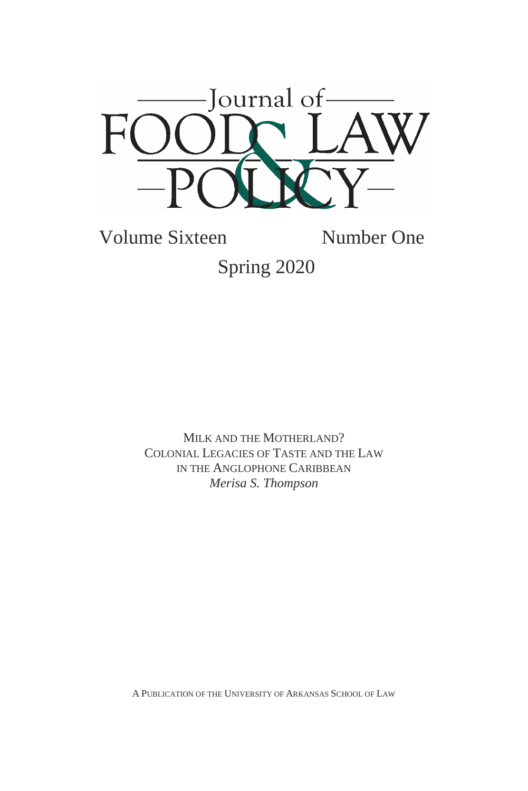

Volume Sixteen Number One Spring 2020

> MILK AND THE MOTHERLAND? COLONIAL LEGACIES OF TASTE AND THE LAW IN THE ANGLOPHONE CARIBBEAN *Merisa S. Thompson*

A PUBLICATION OF THE UNIVERSITY OF ARKANSAS SCHOOL OF LAW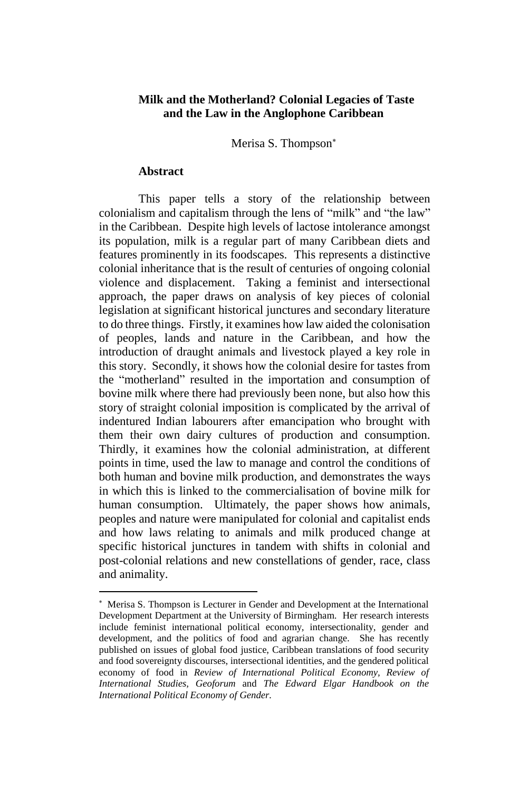## **Milk and the Motherland? Colonial Legacies of Taste and the Law in the Anglophone Caribbean**

Merisa S. Thompson

#### **Abstract**

**.** 

This paper tells a story of the relationship between colonialism and capitalism through the lens of "milk" and "the law" in the Caribbean. Despite high levels of lactose intolerance amongst its population, milk is a regular part of many Caribbean diets and features prominently in its foodscapes. This represents a distinctive colonial inheritance that is the result of centuries of ongoing colonial violence and displacement. Taking a feminist and intersectional approach, the paper draws on analysis of key pieces of colonial legislation at significant historical junctures and secondary literature to do three things. Firstly, it examines how law aided the colonisation of peoples, lands and nature in the Caribbean, and how the introduction of draught animals and livestock played a key role in this story. Secondly, it shows how the colonial desire for tastes from the "motherland" resulted in the importation and consumption of bovine milk where there had previously been none, but also how this story of straight colonial imposition is complicated by the arrival of indentured Indian labourers after emancipation who brought with them their own dairy cultures of production and consumption. Thirdly, it examines how the colonial administration, at different points in time, used the law to manage and control the conditions of both human and bovine milk production, and demonstrates the ways in which this is linked to the commercialisation of bovine milk for human consumption. Ultimately, the paper shows how animals, peoples and nature were manipulated for colonial and capitalist ends and how laws relating to animals and milk produced change at specific historical junctures in tandem with shifts in colonial and post-colonial relations and new constellations of gender, race, class and animality.

Merisa S. Thompson is Lecturer in Gender and Development at the International Development Department at the University of Birmingham. Her research interests include feminist international political economy, intersectionality, gender and development, and the politics of food and agrarian change. She has recently published on issues of global food justice, Caribbean translations of food security and food sovereignty discourses, intersectional identities, and the gendered political economy of food in *Review of International Political Economy, Review of International Studies, Geoforum* and *The Edward Elgar Handbook on the International Political Economy of Gender.*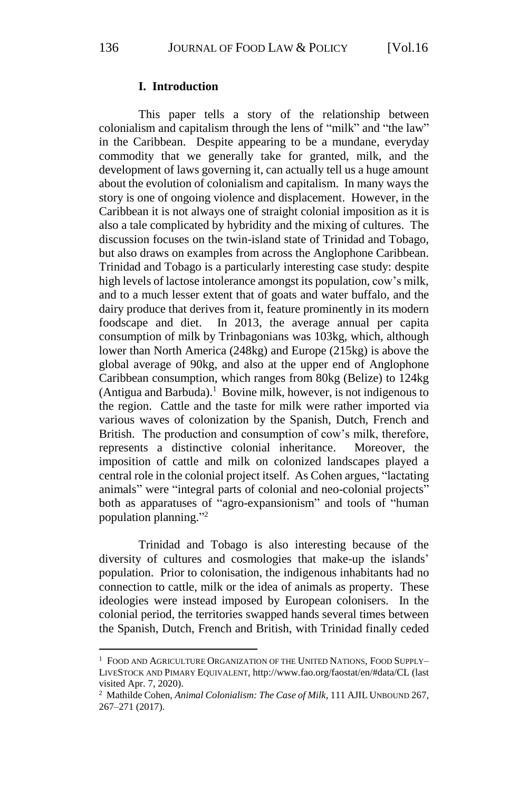#### **I. Introduction**

This paper tells a story of the relationship between colonialism and capitalism through the lens of "milk" and "the law" in the Caribbean. Despite appearing to be a mundane, everyday commodity that we generally take for granted, milk, and the development of laws governing it, can actually tell us a huge amount about the evolution of colonialism and capitalism. In many ways the story is one of ongoing violence and displacement. However, in the Caribbean it is not always one of straight colonial imposition as it is also a tale complicated by hybridity and the mixing of cultures. The discussion focuses on the twin-island state of Trinidad and Tobago, but also draws on examples from across the Anglophone Caribbean. Trinidad and Tobago is a particularly interesting case study: despite high levels of lactose intolerance amongst its population, cow's milk, and to a much lesser extent that of goats and water buffalo, and the dairy produce that derives from it, feature prominently in its modern foodscape and diet. In 2013, the average annual per capita consumption of milk by Trinbagonians was 103kg, which, although lower than North America (248kg) and Europe (215kg) is above the global average of 90kg, and also at the upper end of Anglophone Caribbean consumption, which ranges from 80kg (Belize) to 124kg (Antigua and Barbuda).<sup>1</sup> Bovine milk, however, is not indigenous to the region. Cattle and the taste for milk were rather imported via various waves of colonization by the Spanish, Dutch, French and British. The production and consumption of cow's milk, therefore, represents a distinctive colonial inheritance. Moreover, the imposition of cattle and milk on colonized landscapes played a central role in the colonial project itself. As Cohen argues, "lactating animals" were "integral parts of colonial and neo-colonial projects" both as apparatuses of "agro-expansionism" and tools of "human population planning." 2

Trinidad and Tobago is also interesting because of the diversity of cultures and cosmologies that make-up the islands' population. Prior to colonisation, the indigenous inhabitants had no connection to cattle, milk or the idea of animals as property. These ideologies were instead imposed by European colonisers. In the colonial period, the territories swapped hands several times between the Spanish, Dutch, French and British, with Trinidad finally ceded

<sup>&</sup>lt;sup>1</sup> FOOD AND AGRICULTURE ORGANIZATION OF THE UNITED NATIONS, FOOD SUPPLY-LIVESTOCK AND PIMARY EQUIVALENT, http://www.fao.org/faostat/en/#data/CL (last visited Apr. 7, 2020).

<sup>2</sup> Mathilde Cohen, *Animal Colonialism: The Case of Milk*, 111 AJIL UNBOUND 267, 267–271 (2017).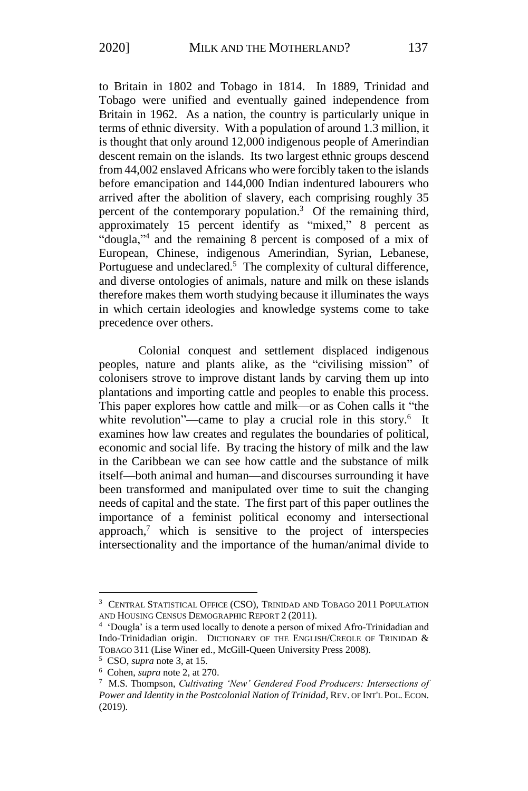to Britain in 1802 and Tobago in 1814. In 1889, Trinidad and Tobago were unified and eventually gained independence from Britain in 1962. As a nation, the country is particularly unique in terms of ethnic diversity. With a population of around 1.3 million, it is thought that only around 12,000 indigenous people of Amerindian descent remain on the islands. Its two largest ethnic groups descend from 44,002 enslaved Africans who were forcibly taken to the islands before emancipation and 144,000 Indian indentured labourers who arrived after the abolition of slavery, each comprising roughly 35 percent of the contemporary population.<sup>3</sup> Of the remaining third, approximately 15 percent identify as "mixed," 8 percent as "dougla,"<sup>4</sup> and the remaining 8 percent is composed of a mix of European, Chinese, indigenous Amerindian, Syrian, Lebanese, Portuguese and undeclared.<sup>5</sup> The complexity of cultural difference, and diverse ontologies of animals, nature and milk on these islands therefore makes them worth studying because it illuminates the ways in which certain ideologies and knowledge systems come to take precedence over others.

Colonial conquest and settlement displaced indigenous peoples, nature and plants alike, as the "civilising mission" of colonisers strove to improve distant lands by carving them up into plantations and importing cattle and peoples to enable this process. This paper explores how cattle and milk—or as Cohen calls it "the white revolution"—came to play a crucial role in this story.<sup>6</sup> It examines how law creates and regulates the boundaries of political, economic and social life. By tracing the history of milk and the law in the Caribbean we can see how cattle and the substance of milk itself—both animal and human—and discourses surrounding it have been transformed and manipulated over time to suit the changing needs of capital and the state. The first part of this paper outlines the importance of a feminist political economy and intersectional approach, $\alpha$ <sup>7</sup> which is sensitive to the project of interspecies intersectionality and the importance of the human/animal divide to

<sup>3</sup> CENTRAL STATISTICAL OFFICE (CSO), TRINIDAD AND TOBAGO 2011 POPULATION AND HOUSING CENSUS DEMOGRAPHIC REPORT 2 (2011).

<sup>4</sup> 'Dougla' is a term used locally to denote a person of mixed Afro-Trinidadian and Indo-Trinidadian origin. DICTIONARY OF THE ENGLISH/CREOLE OF TRINIDAD & TOBAGO 311 (Lise Winer ed., McGill-Queen University Press 2008).

<sup>5</sup> CSO, *supra* note 3, at 15.

<sup>6</sup> Cohen, *supra* note 2, at 270.

<sup>7</sup> M.S. Thompson, *Cultivating 'New' Gendered Food Producers: Intersections of Power and Identity in the Postcolonial Nation of Trinidad*, REV. OF INT'L POL. ECON. (2019).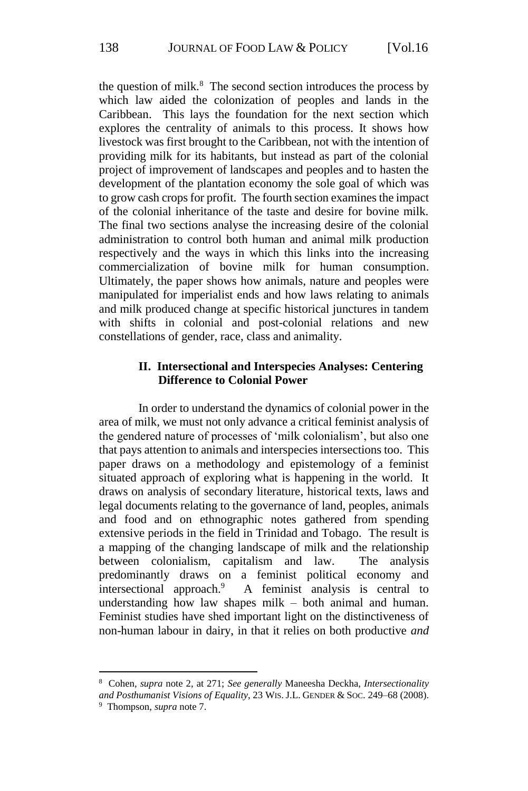the question of milk.<sup>8</sup> The second section introduces the process by which law aided the colonization of peoples and lands in the Caribbean. This lays the foundation for the next section which explores the centrality of animals to this process. It shows how livestock was first brought to the Caribbean, not with the intention of providing milk for its habitants, but instead as part of the colonial project of improvement of landscapes and peoples and to hasten the development of the plantation economy the sole goal of which was to grow cash crops for profit. The fourth section examines the impact of the colonial inheritance of the taste and desire for bovine milk. The final two sections analyse the increasing desire of the colonial administration to control both human and animal milk production respectively and the ways in which this links into the increasing commercialization of bovine milk for human consumption. Ultimately, the paper shows how animals, nature and peoples were manipulated for imperialist ends and how laws relating to animals and milk produced change at specific historical junctures in tandem with shifts in colonial and post-colonial relations and new constellations of gender, race, class and animality.

#### **II. Intersectional and Interspecies Analyses: Centering Difference to Colonial Power**

In order to understand the dynamics of colonial power in the area of milk, we must not only advance a critical feminist analysis of the gendered nature of processes of 'milk colonialism', but also one that pays attention to animals and interspecies intersections too. This paper draws on a methodology and epistemology of a feminist situated approach of exploring what is happening in the world. It draws on analysis of secondary literature, historical texts, laws and legal documents relating to the governance of land, peoples, animals and food and on ethnographic notes gathered from spending extensive periods in the field in Trinidad and Tobago. The result is a mapping of the changing landscape of milk and the relationship between colonialism, capitalism and law. The analysis predominantly draws on a feminist political economy and intersectional approach.<sup>9</sup> A feminist analysis is central to understanding how law shapes milk – both animal and human. Feminist studies have shed important light on the distinctiveness of non-human labour in dairy, in that it relies on both productive *and*

<sup>8</sup> Cohen, *supra* note 2, at 271; *See generally* Maneesha Deckha, *Intersectionality and Posthumanist Visions of Equality*, 23 WIS. J.L. GENDER & SOC. 249–68 (2008). 9 Thompson, *supra* note 7.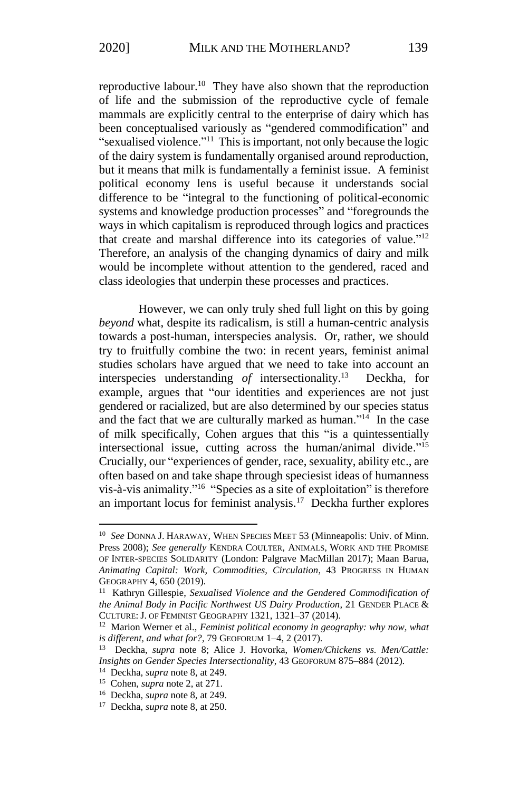reproductive labour.<sup>10</sup> They have also shown that the reproduction of life and the submission of the reproductive cycle of female mammals are explicitly central to the enterprise of dairy which has been conceptualised variously as "gendered commodification" and "sexualised violence."<sup>11</sup> This is important, not only because the logic of the dairy system is fundamentally organised around reproduction, but it means that milk is fundamentally a feminist issue. A feminist political economy lens is useful because it understands social difference to be "integral to the functioning of political-economic systems and knowledge production processes" and "foregrounds the ways in which capitalism is reproduced through logics and practices that create and marshal difference into its categories of value."<sup>12</sup> Therefore, an analysis of the changing dynamics of dairy and milk would be incomplete without attention to the gendered, raced and class ideologies that underpin these processes and practices.

However, we can only truly shed full light on this by going *beyond* what, despite its radicalism, is still a human-centric analysis towards a post-human, interspecies analysis. Or, rather, we should try to fruitfully combine the two: in recent years, feminist animal studies scholars have argued that we need to take into account an interspecies understanding *of* intersectionality.<sup>13</sup> Deckha, for example, argues that "our identities and experiences are not just gendered or racialized, but are also determined by our species status and the fact that we are culturally marked as human."<sup>14</sup> In the case of milk specifically, Cohen argues that this "is a quintessentially intersectional issue, cutting across the human/animal divide."<sup>15</sup> Crucially, our "experiences of gender, race, sexuality, ability etc., are often based on and take shape through speciesist ideas of humanness vis-à-vis animality."<sup>16</sup> "Species as a site of exploitation" is therefore an important locus for feminist analysis.<sup>17</sup> Deckha further explores

<sup>&</sup>lt;sup>10</sup> See DONNA J. HARAWAY, WHEN SPECIES MEET 53 (Minneapolis: Univ. of Minn. Press 2008); *See generally* KENDRA COULTER, ANIMALS, WORK AND THE PROMISE OF INTER-SPECIES SOLIDARITY (London: Palgrave MacMillan 2017); Maan Barua, *Animating Capital: Work, Commodities, Circulation*, 43 PROGRESS IN HUMAN GEOGRAPHY 4, 650 (2019).

<sup>11</sup> Kathryn Gillespie, *Sexualised Violence and the Gendered Commodification of the Animal Body in Pacific Northwest US Dairy Production*, 21 GENDER PLACE & CULTURE: J. OF FEMINIST GEOGRAPHY 1321, 1321–37 (2014).

<sup>12</sup> Marion Werner et al., *Feminist political economy in geography: why now, what is different, and what for?*, 79 GEOFORUM 1–4, 2 (2017).

<sup>13</sup> Deckha, *supra* note 8; Alice J. Hovorka, *Women/Chickens vs. Men/Cattle: Insights on Gender Species Intersectionality*, 43 GEOFORUM 875–884 (2012).

<sup>14</sup> Deckha, *supra* note 8, at 249.

<sup>15</sup> Cohen, *supra* note 2, at 271.

<sup>16</sup> Deckha, *supra* note 8, at 249.

<sup>17</sup> Deckha, *supra* note 8, at 250.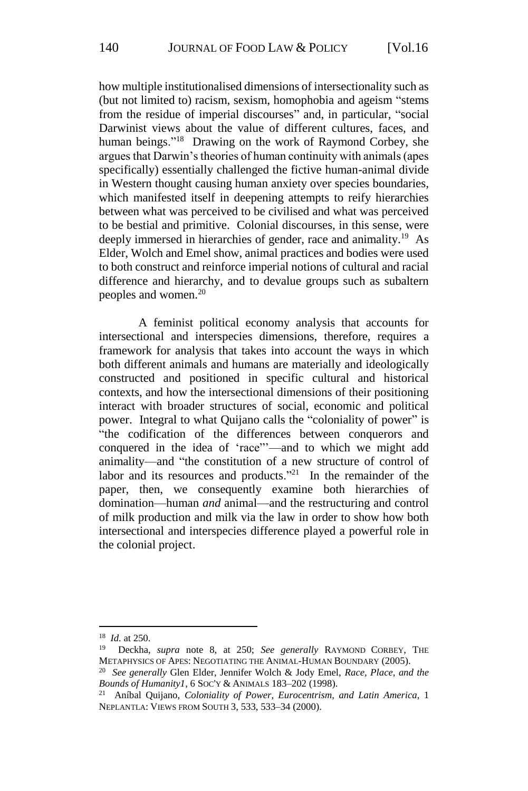how multiple institutionalised dimensions of intersectionality such as (but not limited to) racism, sexism, homophobia and ageism "stems from the residue of imperial discourses" and, in particular, "social Darwinist views about the value of different cultures, faces, and human beings."<sup>18</sup> Drawing on the work of Raymond Corbey, she argues that Darwin's theories of human continuity with animals (apes specifically) essentially challenged the fictive human-animal divide in Western thought causing human anxiety over species boundaries, which manifested itself in deepening attempts to reify hierarchies between what was perceived to be civilised and what was perceived to be bestial and primitive. Colonial discourses, in this sense, were deeply immersed in hierarchies of gender, race and animality.<sup>19</sup> As Elder, Wolch and Emel show, animal practices and bodies were used to both construct and reinforce imperial notions of cultural and racial difference and hierarchy, and to devalue groups such as subaltern peoples and women.<sup>20</sup>

A feminist political economy analysis that accounts for intersectional and interspecies dimensions, therefore, requires a framework for analysis that takes into account the ways in which both different animals and humans are materially and ideologically constructed and positioned in specific cultural and historical contexts, and how the intersectional dimensions of their positioning interact with broader structures of social, economic and political power. Integral to what Quijano calls the "coloniality of power" is "the codification of the differences between conquerors and conquered in the idea of 'race"'—and to which we might add animality—and "the constitution of a new structure of control of labor and its resources and products."<sup>21</sup> In the remainder of the paper, then, we consequently examine both hierarchies of domination—human *and* animal—and the restructuring and control of milk production and milk via the law in order to show how both intersectional and interspecies difference played a powerful role in the colonial project.

<sup>&</sup>lt;sup>18</sup> *Id.* at 250.<br><sup>19</sup> Deckha

<sup>19</sup> Deckha, *supra* note 8, at 250; *See generally* RAYMOND CORBEY, THE METAPHYSICS OF APES: NEGOTIATING THE ANIMAL-HUMAN BOUNDARY (2005).

<sup>20</sup> *See generally* Glen Elder, Jennifer Wolch & Jody Emel, *Race, Place, and the Bounds of Humanity1*, 6 SOC'Y & ANIMALS 183–202 (1998).

<sup>21</sup> Aníbal Quijano, *Coloniality of Power, Eurocentrism, and Latin America*, 1 NEPLANTLA: VIEWS FROM SOUTH 3, 533, 533–34 (2000).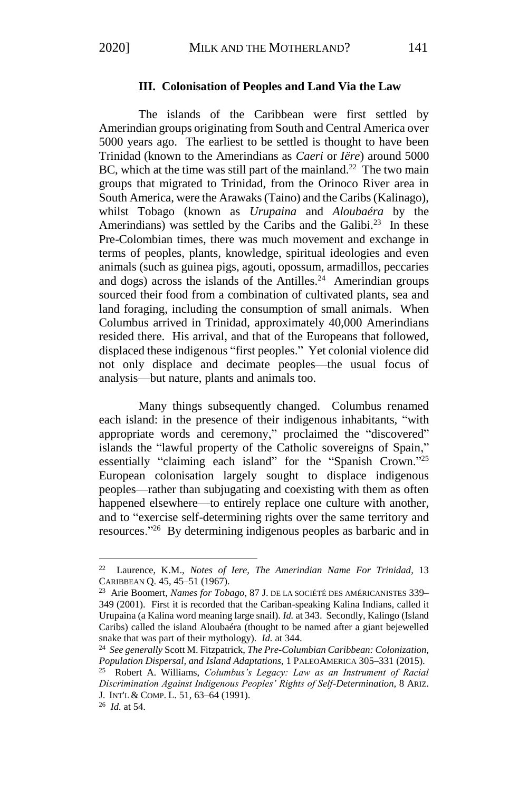#### **III. Colonisation of Peoples and Land Via the Law**

The islands of the Caribbean were first settled by Amerindian groups originating from South and Central America over 5000 years ago. The earliest to be settled is thought to have been Trinidad (known to the Amerindians as *Caeri* or *Iëre*) around 5000 BC, which at the time was still part of the mainland.<sup>22</sup> The two main groups that migrated to Trinidad, from the Orinoco River area in South America, were the Arawaks (Taino) and the Caribs (Kalinago), whilst Tobago (known as *Urupaina* and *Aloubaéra* by the Amerindians) was settled by the Caribs and the Galibi.<sup>23</sup> In these Pre-Colombian times, there was much movement and exchange in terms of peoples, plants, knowledge, spiritual ideologies and even animals (such as guinea pigs, agouti, opossum, armadillos, peccaries and dogs) across the islands of the Antilles.<sup>24</sup> Amerindian groups sourced their food from a combination of cultivated plants, sea and land foraging, including the consumption of small animals. When Columbus arrived in Trinidad, approximately 40,000 Amerindians resided there. His arrival, and that of the Europeans that followed, displaced these indigenous "first peoples." Yet colonial violence did not only displace and decimate peoples—the usual focus of analysis—but nature, plants and animals too.

Many things subsequently changed. Columbus renamed each island: in the presence of their indigenous inhabitants, "with appropriate words and ceremony," proclaimed the "discovered" islands the "lawful property of the Catholic sovereigns of Spain," essentially "claiming each island" for the "Spanish Crown."<sup>25</sup> European colonisation largely sought to displace indigenous peoples—rather than subjugating and coexisting with them as often happened elsewhere—to entirely replace one culture with another, and to "exercise self-determining rights over the same territory and resources."<sup>26</sup> By determining indigenous peoples as barbaric and in

<sup>22</sup> Laurence, K.M., *Notes of Iere, The Amerindian Name For Trinidad*, 13 CARIBBEAN Q. 45, 45–51 (1967).

<sup>23</sup> Arie Boomert, *Names for Tobago*, 87 J. DE LA SOCIÉTÉ DES AMÉRICANISTES 339– 349 (2001). First it is recorded that the Cariban-speaking Kalina Indians, called it Urupaina (a Kalina word meaning large snail). *Id.* at 343. Secondly, Kalingo (Island Caribs) called the island Aloubaéra (thought to be named after a giant bejewelled snake that was part of their mythology). *Id.* at 344.

<sup>24</sup> *See generally* Scott M. Fitzpatrick, *The Pre-Columbian Caribbean: Colonization, Population Dispersal, and Island Adaptations*, 1 PALEOAMERICA 305–331 (2015).

<sup>25</sup> Robert A. Williams, *Columbus's Legacy: Law as an Instrument of Racial Discrimination Against Indigenous Peoples' Rights of Self-Determination*, 8 ARIZ. J. INT'L & COMP. L. 51, 63–64 (1991).

<sup>26</sup> *Id.* at 54.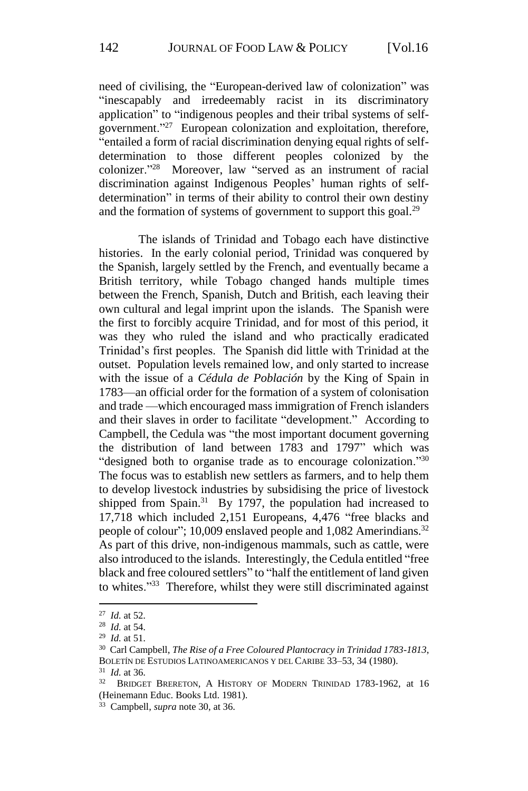need of civilising, the "European-derived law of colonization" was "inescapably and irredeemably racist in its discriminatory application" to "indigenous peoples and their tribal systems of selfgovernment."<sup>27</sup> European colonization and exploitation, therefore, "entailed a form of racial discrimination denying equal rights of selfdetermination to those different peoples colonized by the colonizer."<sup>28</sup> Moreover, law "served as an instrument of racial discrimination against Indigenous Peoples' human rights of selfdetermination" in terms of their ability to control their own destiny and the formation of systems of government to support this goal. $^{29}$ 

The islands of Trinidad and Tobago each have distinctive histories. In the early colonial period, Trinidad was conquered by the Spanish, largely settled by the French, and eventually became a British territory, while Tobago changed hands multiple times between the French, Spanish, Dutch and British, each leaving their own cultural and legal imprint upon the islands. The Spanish were the first to forcibly acquire Trinidad, and for most of this period, it was they who ruled the island and who practically eradicated Trinidad's first peoples. The Spanish did little with Trinidad at the outset. Population levels remained low, and only started to increase with the issue of a *Cédula de Población* by the King of Spain in 1783—an official order for the formation of a system of colonisation and trade —which encouraged mass immigration of French islanders and their slaves in order to facilitate "development." According to Campbell, the Cedula was "the most important document governing the distribution of land between 1783 and 1797" which was "designed both to organise trade as to encourage colonization."<sup>30</sup> The focus was to establish new settlers as farmers, and to help them to develop livestock industries by subsidising the price of livestock shipped from Spain.<sup>31</sup> By 1797, the population had increased to 17,718 which included 2,151 Europeans, 4,476 "free blacks and people of colour"; 10,009 enslaved people and 1,082 Amerindians.<sup>32</sup> As part of this drive, non-indigenous mammals, such as cattle, were also introduced to the islands. Interestingly, the Cedula entitled "free black and free coloured settlers" to "half the entitlement of land given to whites."<sup>33</sup> Therefore, whilst they were still discriminated against

<sup>27</sup> *Id.* at 52.

<sup>28</sup> *Id.* at 54.

<sup>29</sup> *Id.* at 51.

<sup>30</sup> Carl Campbell, *The Rise of a Free Coloured Plantocracy in Trinidad 1783-1813*, BOLETÍN DE ESTUDIOS LATINOAMERICANOS Y DEL CARIBE 33–53, 34 (1980).

<sup>31</sup> *Id.* at 36.

<sup>32</sup> BRIDGET BRERETON, A HISTORY OF MODERN TRINIDAD 1783-1962, at 16 (Heinemann Educ. Books Ltd. 1981).

<sup>33</sup> Campbell, *supra* note 30, at 36.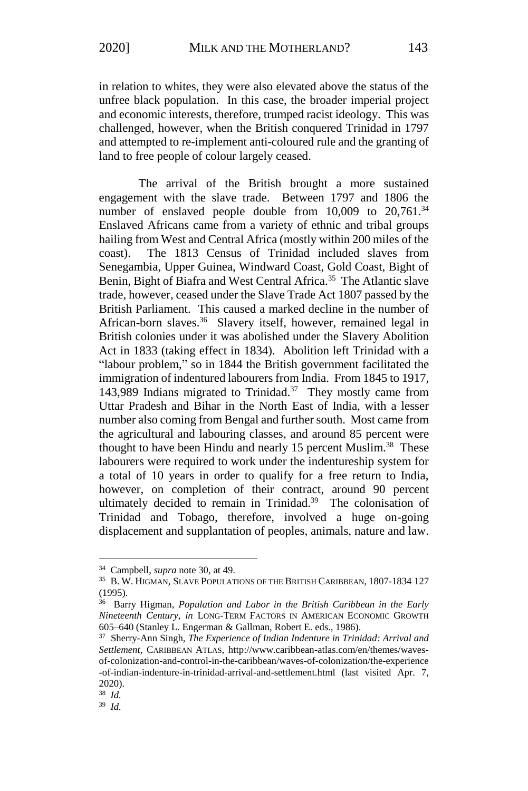in relation to whites, they were also elevated above the status of the unfree black population. In this case, the broader imperial project and economic interests, therefore, trumped racist ideology. This was challenged, however, when the British conquered Trinidad in 1797 and attempted to re-implement anti-coloured rule and the granting of land to free people of colour largely ceased.

The arrival of the British brought a more sustained engagement with the slave trade. Between 1797 and 1806 the number of enslaved people double from  $10,009$  to  $20,761$ .<sup>34</sup> Enslaved Africans came from a variety of ethnic and tribal groups hailing from West and Central Africa (mostly within 200 miles of the coast). The 1813 Census of Trinidad included slaves from Senegambia, Upper Guinea, Windward Coast, Gold Coast, Bight of Benin, Bight of Biafra and West Central Africa.<sup>35</sup> The Atlantic slave trade, however, ceased under the Slave Trade Act 1807 passed by the British Parliament. This caused a marked decline in the number of African-born slaves.<sup>36</sup> Slavery itself, however, remained legal in British colonies under it was abolished under the Slavery Abolition Act in 1833 (taking effect in 1834). Abolition left Trinidad with a "labour problem," so in 1844 the British government facilitated the immigration of indentured labourers from India. From 1845 to 1917, 143,989 Indians migrated to Trinidad.<sup>37</sup> They mostly came from Uttar Pradesh and Bihar in the North East of India, with a lesser number also coming from Bengal and further south. Most came from the agricultural and labouring classes, and around 85 percent were thought to have been Hindu and nearly 15 percent Muslim.<sup>38</sup> These labourers were required to work under the indentureship system for a total of 10 years in order to qualify for a free return to India, however, on completion of their contract, around 90 percent ultimately decided to remain in Trinidad.<sup>39</sup> The colonisation of Trinidad and Tobago, therefore, involved a huge on-going displacement and supplantation of peoples, animals, nature and law.

<sup>34</sup> Campbell, *supra* note 30, at 49.

<sup>35</sup> B. W. HIGMAN, SLAVE POPULATIONS OF THE BRITISH CARIBBEAN, 1807-1834 127 (1995).

<sup>36</sup> Barry Higman, *Population and Labor in the British Caribbean in the Early Nineteenth Century*, *in* LONG-TERM FACTORS IN AMERICAN ECONOMIC GROWTH 605–640 (Stanley L. Engerman & Gallman, Robert E. eds., 1986).

<sup>37</sup> Sherry-Ann Singh, *The Experience of Indian Indenture in Trinidad: Arrival and Settlement*, CARIBBEAN ATLAS, http://www.caribbean-atlas.com/en/themes/wavesof-colonization-and-control-in-the-caribbean/waves-of-colonization/the-experience -of-indian-indenture-in-trinidad-arrival-and-settlement.html (last visited Apr. 7, 2020).

<sup>38</sup> *Id.*

<sup>39</sup> *Id.*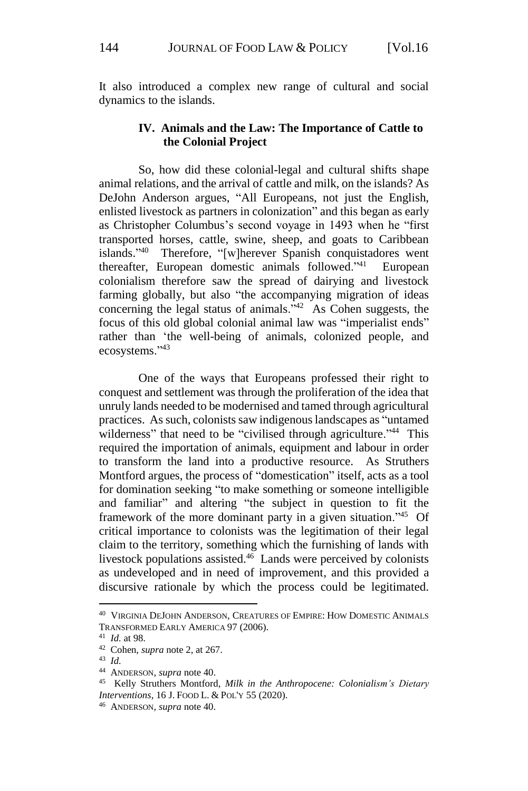It also introduced a complex new range of cultural and social dynamics to the islands.

## **IV. Animals and the Law: The Importance of Cattle to the Colonial Project**

So, how did these colonial-legal and cultural shifts shape animal relations, and the arrival of cattle and milk, on the islands? As DeJohn Anderson argues, "All Europeans, not just the English, enlisted livestock as partners in colonization" and this began as early as Christopher Columbus's second voyage in 1493 when he "first transported horses, cattle, swine, sheep, and goats to Caribbean islands." Therefore, "[w]herever Spanish conquistadores went thereafter, European domestic animals followed."<sup>41</sup> European colonialism therefore saw the spread of dairying and livestock farming globally, but also "the accompanying migration of ideas concerning the legal status of animals.<sup>"42</sup> As Cohen suggests, the focus of this old global colonial animal law was "imperialist ends" rather than 'the well-being of animals, colonized people, and ecosystems."<sup>43</sup>

One of the ways that Europeans professed their right to conquest and settlement was through the proliferation of the idea that unruly lands needed to be modernised and tamed through agricultural practices. As such, colonists saw indigenous landscapes as "untamed wilderness" that need to be "civilised through agriculture."<sup>44</sup> This required the importation of animals, equipment and labour in order to transform the land into a productive resource. As Struthers Montford argues, the process of "domestication" itself, acts as a tool for domination seeking "to make something or someone intelligible and familiar" and altering "the subject in question to fit the framework of the more dominant party in a given situation."<sup>45</sup> Of critical importance to colonists was the legitimation of their legal claim to the territory, something which the furnishing of lands with livestock populations assisted. $46$  Lands were perceived by colonists as undeveloped and in need of improvement, and this provided a discursive rationale by which the process could be legitimated.

<sup>40</sup> VIRGINIA DEJOHN ANDERSON, CREATURES OF EMPIRE: HOW DOMESTIC ANIMALS TRANSFORMED EARLY AMERICA 97 (2006).

<sup>41</sup> *Id.* at 98.

<sup>42</sup> Cohen, *supra* note 2, at 267.

<sup>43</sup> *Id.*

<sup>44</sup> ANDERSON, *supra* note 40.

<sup>45</sup> Kelly Struthers Montford, *Milk in the Anthropocene: Colonialism's Dietary Interventions*, 16 J. FOOD L. & POL'Y 55 (2020).

<sup>46</sup> ANDERSON, *supra* note 40.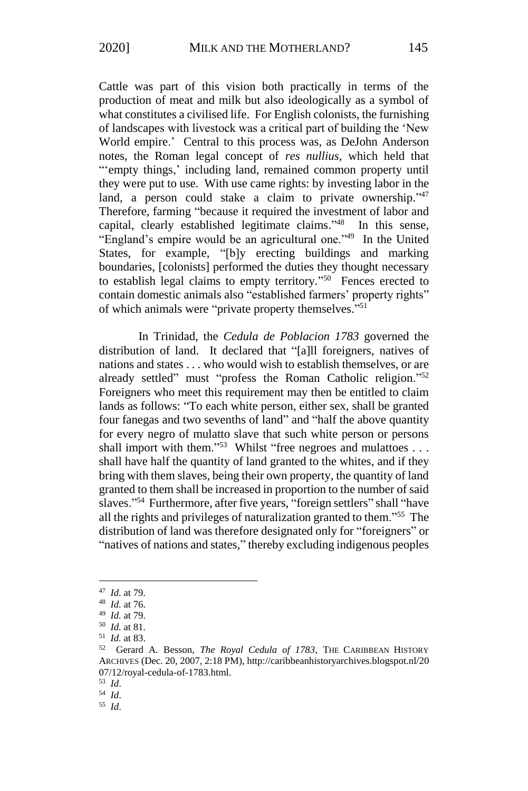Cattle was part of this vision both practically in terms of the production of meat and milk but also ideologically as a symbol of what constitutes a civilised life. For English colonists, the furnishing of landscapes with livestock was a critical part of building the 'New World empire.' Central to this process was, as DeJohn Anderson notes, the Roman legal concept of *res nullius,* which held that "'empty things,' including land, remained common property until they were put to use. With use came rights: by investing labor in the land, a person could stake a claim to private ownership."<sup>47</sup> Therefore, farming "because it required the investment of labor and capital, clearly established legitimate claims." <sup>48</sup> In this sense, "England's empire would be an agricultural one." <sup>49</sup> In the United States, for example, "[b]y erecting buildings and marking boundaries, [colonists] performed the duties they thought necessary to establish legal claims to empty territory."<sup>50</sup> Fences erected to contain domestic animals also "established farmers' property rights" of which animals were "private property themselves." 51

In Trinidad, the *Cedula de Poblacion 1783* governed the distribution of land. It declared that "[a]ll foreigners, natives of nations and states . . . who would wish to establish themselves, or are already settled" must "profess the Roman Catholic religion."<sup>52</sup> Foreigners who meet this requirement may then be entitled to claim lands as follows: "To each white person, either sex, shall be granted four fanegas and two sevenths of land" and "half the above quantity for every negro of mulatto slave that such white person or persons shall import with them."<sup>53</sup> Whilst "free negroes and mulattoes . . . shall have half the quantity of land granted to the whites, and if they bring with them slaves, being their own property, the quantity of land granted to them shall be increased in proportion to the number of said slaves."<sup>54</sup> Furthermore, after five years, "foreign settlers" shall "have all the rights and privileges of naturalization granted to them."<sup>55</sup> The distribution of land was therefore designated only for "foreigners" or "natives of nations and states," thereby excluding indigenous peoples

<sup>47</sup> *Id.* at 79.

<sup>48</sup> *Id.* at 76.

<sup>49</sup> *Id.* at 79.

<sup>50</sup> *Id.* at 81.

<sup>51</sup> *Id.* at 83.

<sup>52</sup> Gerard A. Besson, *The Royal Cedula of 1783*, THE CARIBBEAN HISTORY ARCHIVES (Dec. 20, 2007, 2:18 PM), http://caribbeanhistoryarchives.blogspot.nl/20 07/12/royal-cedula-of-1783.html.

<sup>53</sup> *Id*. <sup>54</sup> *Id*.

<sup>55</sup> *Id*.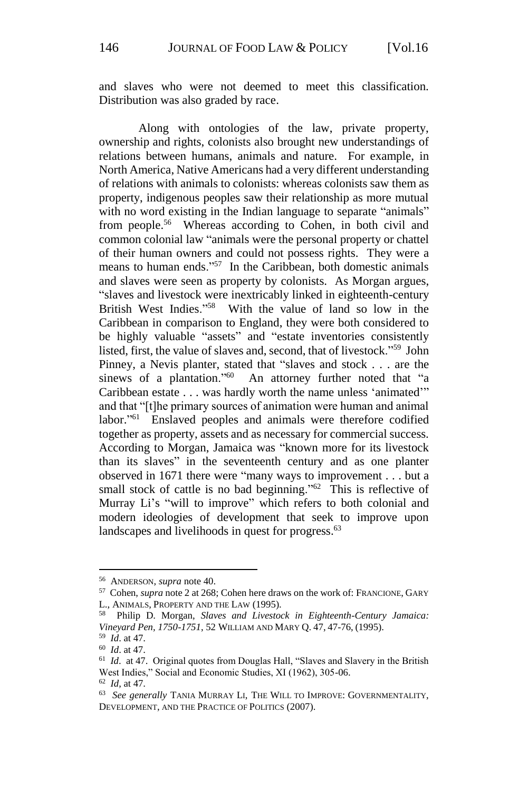and slaves who were not deemed to meet this classification. Distribution was also graded by race.

Along with ontologies of the law, private property, ownership and rights, colonists also brought new understandings of relations between humans, animals and nature. For example, in North America, Native Americans had a very different understanding of relations with animals to colonists: whereas colonists saw them as property, indigenous peoples saw their relationship as more mutual with no word existing in the Indian language to separate "animals" from people.<sup>56</sup> Whereas according to Cohen, in both civil and common colonial law "animals were the personal property or chattel of their human owners and could not possess rights. They were a means to human ends."<sup>57</sup> In the Caribbean, both domestic animals and slaves were seen as property by colonists. As Morgan argues, "slaves and livestock were inextricably linked in eighteenth-century British West Indies."<sup>58</sup> With the value of land so low in the Caribbean in comparison to England, they were both considered to be highly valuable "assets" and "estate inventories consistently listed, first, the value of slaves and, second, that of livestock."<sup>59</sup> John Pinney, a Nevis planter, stated that "slaves and stock . . . are the sinews of a plantation."<sup>60</sup> An attorney further noted that "a Caribbean estate . . . was hardly worth the name unless 'animated'" and that "[t]he primary sources of animation were human and animal labor."<sup>61</sup> Enslaved peoples and animals were therefore codified together as property, assets and as necessary for commercial success. According to Morgan, Jamaica was "known more for its livestock than its slaves" in the seventeenth century and as one planter observed in 1671 there were "many ways to improvement . . . but a small stock of cattle is no bad beginning."<sup>62</sup> This is reflective of Murray Li's "will to improve" which refers to both colonial and modern ideologies of development that seek to improve upon landscapes and livelihoods in quest for progress.<sup>63</sup>

<sup>56</sup> ANDERSON, *supra* note 40.

<sup>57</sup> Cohen, *supra* note 2 at 268; Cohen here draws on the work of: FRANCIONE, GARY L., ANIMALS, PROPERTY AND THE LAW (1995).

<sup>58</sup> Philip D. Morgan, *Slaves and Livestock in Eighteenth-Century Jamaica: Vineyard Pen, 1750-1751*, 52 WILLIAM AND MARY Q. 47, 47-76, (1995). <sup>59</sup> *Id*. at 47.

<sup>60</sup> *Id*. at 47.

<sup>61</sup> *Id*. at 47. Original quotes from Douglas Hall, "Slaves and Slavery in the British West Indies," Social and Economic Studies, XI (1962), 305-06.

<sup>62</sup> *Id*, at 47.

<sup>63</sup> *See generally* TANIA MURRAY LI, THE WILL TO IMPROVE: GOVERNMENTALITY, DEVELOPMENT, AND THE PRACTICE OF POLITICS (2007).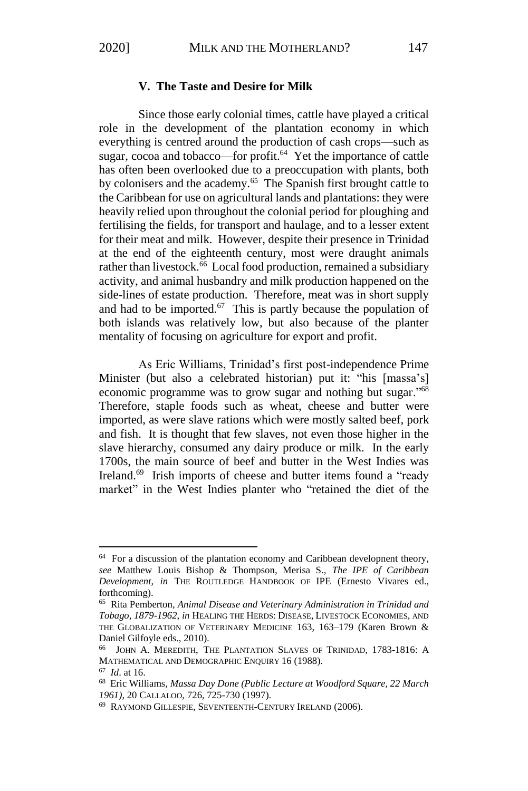#### **V. The Taste and Desire for Milk**

Since those early colonial times, cattle have played a critical role in the development of the plantation economy in which everything is centred around the production of cash crops—such as sugar, cocoa and tobacco—for profit.<sup>64</sup> Yet the importance of cattle has often been overlooked due to a preoccupation with plants, both by colonisers and the academy.<sup>65</sup> The Spanish first brought cattle to the Caribbean for use on agricultural lands and plantations: they were heavily relied upon throughout the colonial period for ploughing and fertilising the fields, for transport and haulage, and to a lesser extent for their meat and milk. However, despite their presence in Trinidad at the end of the eighteenth century, most were draught animals rather than livestock.<sup>66</sup> Local food production, remained a subsidiary activity, and animal husbandry and milk production happened on the side-lines of estate production. Therefore, meat was in short supply and had to be imported. $67$  This is partly because the population of both islands was relatively low, but also because of the planter mentality of focusing on agriculture for export and profit.

As Eric Williams, Trinidad's first post-independence Prime Minister (but also a celebrated historian) put it: "his [massa's] economic programme was to grow sugar and nothing but sugar."<sup>68</sup> Therefore, staple foods such as wheat, cheese and butter were imported, as were slave rations which were mostly salted beef, pork and fish. It is thought that few slaves, not even those higher in the slave hierarchy, consumed any dairy produce or milk. In the early 1700s, the main source of beef and butter in the West Indies was Ireland.<sup>69</sup> Irish imports of cheese and butter items found a "ready" market" in the West Indies planter who "retained the diet of the

<sup>64</sup> For a discussion of the plantation economy and Caribbean developnent theory*, see* Matthew Louis Bishop & Thompson, Merisa S., *The IPE of Caribbean Development*, *in* THE ROUTLEDGE HANDBOOK OF IPE (Ernesto Vivares ed., forthcoming).

<sup>65</sup> Rita Pemberton, *Animal Disease and Veterinary Administration in Trinidad and Tobago, 1879-1962*, *in* HEALING THE HERDS: DISEASE, LIVESTOCK ECONOMIES, AND THE GLOBALIZATION OF VETERINARY MEDICINE 163, 163–179 (Karen Brown & Daniel Gilfoyle eds., 2010).

<sup>66</sup> JOHN A. MEREDITH, THE PLANTATION SLAVES OF TRINIDAD, 1783-1816: A MATHEMATICAL AND DEMOGRAPHIC ENQUIRY 16 (1988).

<sup>67</sup> *Id*. at 16.

<sup>68</sup> Eric Williams, *Massa Day Done (Public Lecture at Woodford Square, 22 March 1961)*, 20 CALLALOO, 726, 725-730 (1997).

<sup>69</sup> RAYMOND GILLESPIE, SEVENTEENTH-CENTURY IRELAND (2006).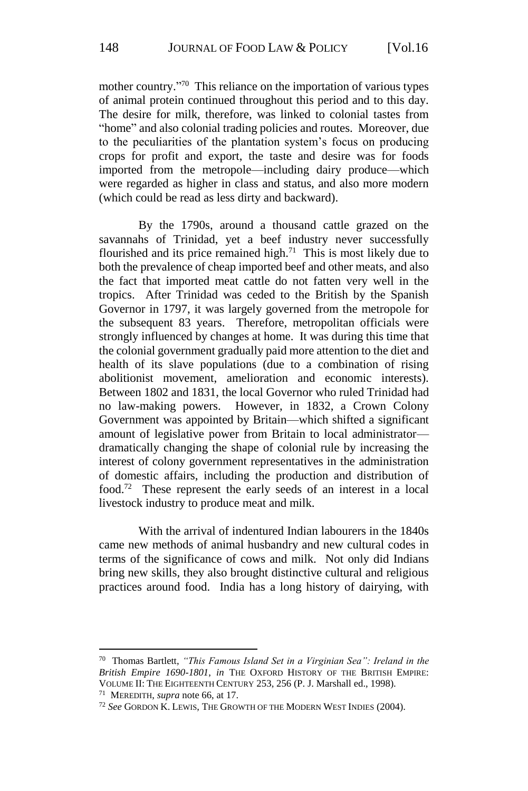mother country." <sup>70</sup> This reliance on the importation of various types of animal protein continued throughout this period and to this day. The desire for milk, therefore, was linked to colonial tastes from "home" and also colonial trading policies and routes. Moreover, due to the peculiarities of the plantation system's focus on producing crops for profit and export, the taste and desire was for foods imported from the metropole—including dairy produce—which were regarded as higher in class and status, and also more modern (which could be read as less dirty and backward).

By the 1790s, around a thousand cattle grazed on the savannahs of Trinidad, yet a beef industry never successfully flourished and its price remained high.<sup>71</sup> This is most likely due to both the prevalence of cheap imported beef and other meats, and also the fact that imported meat cattle do not fatten very well in the tropics. After Trinidad was ceded to the British by the Spanish Governor in 1797, it was largely governed from the metropole for the subsequent 83 years. Therefore, metropolitan officials were strongly influenced by changes at home. It was during this time that the colonial government gradually paid more attention to the diet and health of its slave populations (due to a combination of rising abolitionist movement, amelioration and economic interests). Between 1802 and 1831, the local Governor who ruled Trinidad had no law-making powers. However, in 1832, a Crown Colony Government was appointed by Britain—which shifted a significant amount of legislative power from Britain to local administrator dramatically changing the shape of colonial rule by increasing the interest of colony government representatives in the administration of domestic affairs, including the production and distribution of food.<sup>72</sup> These represent the early seeds of an interest in a local livestock industry to produce meat and milk.

With the arrival of indentured Indian labourers in the 1840s came new methods of animal husbandry and new cultural codes in terms of the significance of cows and milk. Not only did Indians bring new skills, they also brought distinctive cultural and religious practices around food. India has a long history of dairying, with

<sup>70</sup> Thomas Bartlett, *"This Famous Island Set in a Virginian Sea": Ireland in the British Empire 1690-1801*, *in* THE OXFORD HISTORY OF THE BRITISH EMPIRE: VOLUME II: THE EIGHTEENTH CENTURY 253, 256 (P. J. Marshall ed., 1998).

<sup>71</sup> MEREDITH, *supra* note 66, at 17.

<sup>72</sup> *See* GORDON K. LEWIS, THE GROWTH OF THE MODERN WEST INDIES (2004).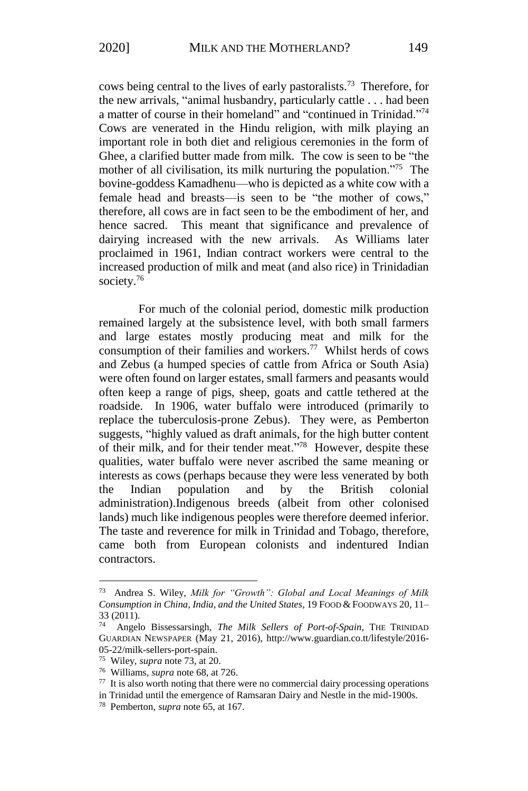cows being central to the lives of early pastoralists.<sup>73</sup> Therefore, for the new arrivals, "animal husbandry, particularly cattle . . . had been a matter of course in their homeland" and "continued in Trinidad."<sup>74</sup> Cows are venerated in the Hindu religion, with milk playing an important role in both diet and religious ceremonies in the form of Ghee, a clarified butter made from milk. The cow is seen to be "the mother of all civilisation, its milk nurturing the population."<sup>75</sup> The bovine-goddess Kamadhenu—who is depicted as a white cow with a female head and breasts—is seen to be "the mother of cows," therefore, all cows are in fact seen to be the embodiment of her, and hence sacred. This meant that significance and prevalence of dairying increased with the new arrivals. As Williams later proclaimed in 1961, Indian contract workers were central to the increased production of milk and meat (and also rice) in Trinidadian society.<sup>76</sup>

For much of the colonial period, domestic milk production remained largely at the subsistence level, with both small farmers and large estates mostly producing meat and milk for the consumption of their families and workers.<sup>77</sup> Whilst herds of cows and Zebus (a humped species of cattle from Africa or South Asia) were often found on larger estates, small farmers and peasants would often keep a range of pigs, sheep, goats and cattle tethered at the roadside. In 1906, water buffalo were introduced (primarily to replace the tuberculosis-prone Zebus). They were, as Pemberton suggests, "highly valued as draft animals, for the high butter content of their milk, and for their tender meat."<sup>78</sup> However, despite these qualities, water buffalo were never ascribed the same meaning or interests as cows (perhaps because they were less venerated by both the Indian population and by the British colonial administration).Indigenous breeds (albeit from other colonised lands) much like indigenous peoples were therefore deemed inferior. The taste and reverence for milk in Trinidad and Tobago, therefore, came both from European colonists and indentured Indian contractors.

<sup>73</sup> Andrea S. Wiley, *Milk for "Growth": Global and Local Meanings of Milk Consumption in China, India, and the United States*, 19 FOOD & FOODWAYS 20, 11–  $33$  (2011).<br> $74$  Angel

<sup>74</sup> Angelo Bissessarsingh, *The Milk Sellers of Port-of-Spain*, THE TRINIDAD GUARDIAN NEWSPAPER (May 21, 2016), http://www.guardian.co.tt/lifestyle/2016- 05-22/milk-sellers-port-spain.

<sup>75</sup> Wiley, *supra* note 73, at 20.

<sup>76</sup> Williams, *supra* note 68, at 726.

<sup>77</sup> It is also worth noting that there were no commercial dairy processing operations

in Trinidad until the emergence of Ramsaran Dairy and Nestle in the mid-1900s.

<sup>78</sup> Pemberton, *supra* note 65, at 167.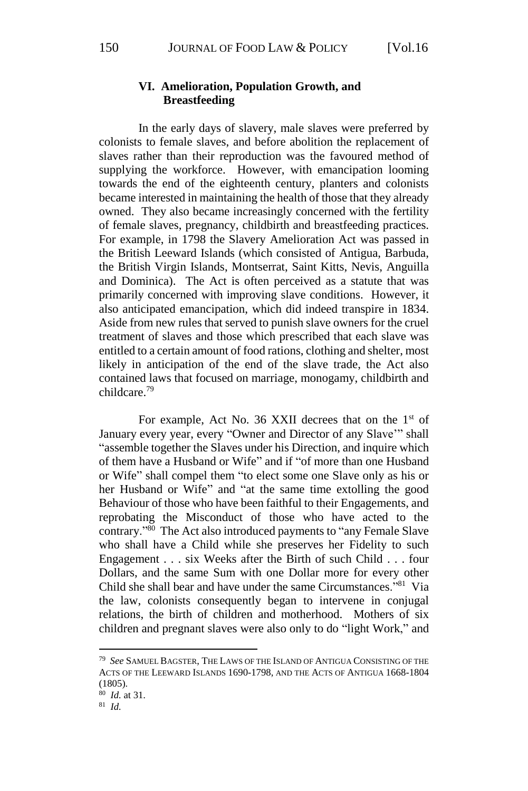### **VI. Amelioration, Population Growth, and Breastfeeding**

In the early days of slavery, male slaves were preferred by colonists to female slaves, and before abolition the replacement of slaves rather than their reproduction was the favoured method of supplying the workforce. However, with emancipation looming towards the end of the eighteenth century, planters and colonists became interested in maintaining the health of those that they already owned. They also became increasingly concerned with the fertility of female slaves, pregnancy, childbirth and breastfeeding practices. For example, in 1798 the Slavery Amelioration Act was passed in the British Leeward Islands (which consisted of Antigua, Barbuda, the British Virgin Islands, Montserrat, Saint Kitts, Nevis, Anguilla and Dominica). The Act is often perceived as a statute that was primarily concerned with improving slave conditions. However, it also anticipated emancipation, which did indeed transpire in 1834. Aside from new rules that served to punish slave owners for the cruel treatment of slaves and those which prescribed that each slave was entitled to a certain amount of food rations, clothing and shelter, most likely in anticipation of the end of the slave trade, the Act also contained laws that focused on marriage, monogamy, childbirth and childcare.<sup>79</sup>

For example, Act No. 36 XXII decrees that on the 1<sup>st</sup> of January every year, every "Owner and Director of any Slave'" shall "assemble together the Slaves under his Direction, and inquire which of them have a Husband or Wife" and if "of more than one Husband or Wife" shall compel them "to elect some one Slave only as his or her Husband or Wife" and "at the same time extolling the good Behaviour of those who have been faithful to their Engagements, and reprobating the Misconduct of those who have acted to the contrary."<sup>80</sup> The Act also introduced payments to "any Female Slave who shall have a Child while she preserves her Fidelity to such Engagement . . . six Weeks after the Birth of such Child . . . four Dollars, and the same Sum with one Dollar more for every other Child she shall bear and have under the same Circumstances."<sup>81</sup> Via the law, colonists consequently began to intervene in conjugal relations, the birth of children and motherhood. Mothers of six children and pregnant slaves were also only to do "light Work," and

<sup>79</sup> *See* SAMUEL BAGSTER, THE LAWS OF THE ISLAND OF ANTIGUA CONSISTING OF THE ACTS OF THE LEEWARD ISLANDS 1690-1798, AND THE ACTS OF ANTIGUA 1668-1804 (1805).

<sup>80</sup> *Id.* at 31.

<sup>81</sup> *Id.*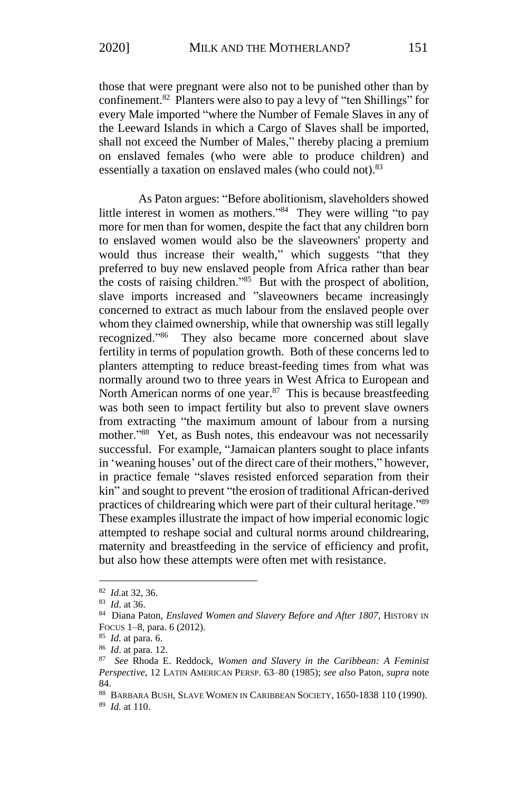those that were pregnant were also not to be punished other than by confinement.<sup>82</sup> Planters were also to pay a levy of "ten Shillings" for every Male imported "where the Number of Female Slaves in any of the Leeward Islands in which a Cargo of Slaves shall be imported, shall not exceed the Number of Males," thereby placing a premium on enslaved females (who were able to produce children) and essentially a taxation on enslaved males (who could not).<sup>83</sup>

As Paton argues: "Before abolitionism, slaveholders showed little interest in women as mothers."<sup>84</sup> They were willing "to pay more for men than for women, despite the fact that any children born to enslaved women would also be the slaveowners' property and would thus increase their wealth," which suggests "that they preferred to buy new enslaved people from Africa rather than bear the costs of raising children." $85$  But with the prospect of abolition, slave imports increased and "slaveowners became increasingly concerned to extract as much labour from the enslaved people over whom they claimed ownership, while that ownership was still legally recognized."<sup>86</sup> They also became more concerned about slave fertility in terms of population growth. Both of these concerns led to planters attempting to reduce breast-feeding times from what was normally around two to three years in West Africa to European and North American norms of one year.<sup>87</sup> This is because breastfeeding was both seen to impact fertility but also to prevent slave owners from extracting "the maximum amount of labour from a nursing mother."<sup>88</sup> Yet, as Bush notes, this endeavour was not necessarily successful. For example, "Jamaican planters sought to place infants in 'weaning houses' out of the direct care of their mothers," however, in practice female "slaves resisted enforced separation from their kin" and sought to prevent "the erosion of traditional African-derived practices of childrearing which were part of their cultural heritage."<sup>89</sup> These examples illustrate the impact of how imperial economic logic attempted to reshape social and cultural norms around childrearing, maternity and breastfeeding in the service of efficiency and profit, but also how these attempts were often met with resistance.

<sup>82</sup> *Id.*at 32, 36.

<sup>83</sup> *Id*. at 36.

<sup>84</sup> Diana Paton, *Enslaved Women and Slavery Before and After 1807*, HISTORY IN FOCUS 1–8, para. 6 (2012).

<sup>85</sup> *Id.* at para. 6.

<sup>86</sup> *Id*. at para. 12.

<sup>87</sup> *See* Rhoda E. Reddock, *Women and Slavery in the Caribbean: A Feminist Perspective*, 12 LATIN AMERICAN PERSP. 63–80 (1985); *see also* Paton, *supra* note 84.

<sup>88</sup> BARBARA BUSH, SLAVE WOMEN IN CARIBBEAN SOCIETY, 1650-1838 110 (1990).

<sup>89</sup> *Id.* at 110.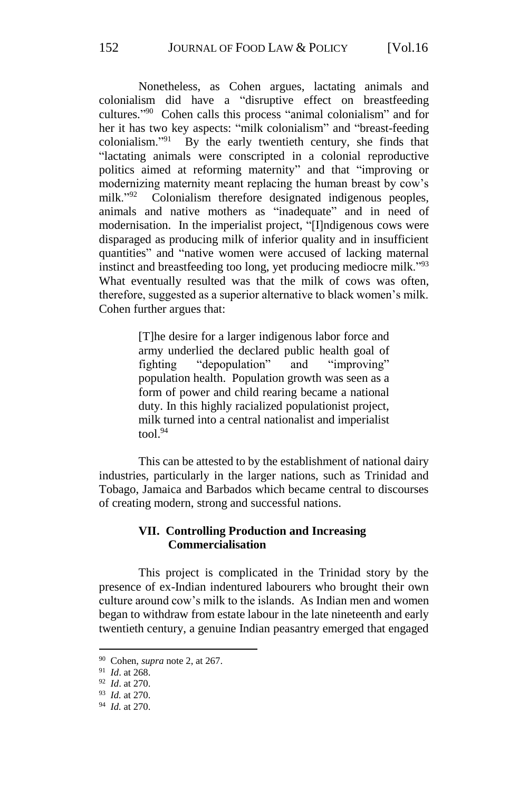Nonetheless, as Cohen argues, lactating animals and colonialism did have a "disruptive effect on breastfeeding cultures." <sup>90</sup> Cohen calls this process "animal colonialism" and for her it has two key aspects: "milk colonialism" and "breast-feeding colonialism."<sup>91</sup> By the early twentieth century, she finds that "lactating animals were conscripted in a colonial reproductive politics aimed at reforming maternity" and that "improving or modernizing maternity meant replacing the human breast by cow's milk."<sup>92</sup> Colonialism therefore designated indigenous peoples, animals and native mothers as "inadequate" and in need of modernisation. In the imperialist project, "[I]ndigenous cows were disparaged as producing milk of inferior quality and in insufficient quantities" and "native women were accused of lacking maternal instinct and breastfeeding too long, yet producing mediocre milk."<sup>93</sup> What eventually resulted was that the milk of cows was often, therefore, suggested as a superior alternative to black women's milk. Cohen further argues that:

> [T]he desire for a larger indigenous labor force and army underlied the declared public health goal of fighting "depopulation" and "improving" population health. Population growth was seen as a form of power and child rearing became a national duty. In this highly racialized populationist project, milk turned into a central nationalist and imperialist  $\text{tool.}^{94}$

This can be attested to by the establishment of national dairy industries, particularly in the larger nations, such as Trinidad and Tobago, Jamaica and Barbados which became central to discourses of creating modern, strong and successful nations.

# **VII. Controlling Production and Increasing Commercialisation**

This project is complicated in the Trinidad story by the presence of ex-Indian indentured labourers who brought their own culture around cow's milk to the islands. As Indian men and women began to withdraw from estate labour in the late nineteenth and early twentieth century, a genuine Indian peasantry emerged that engaged

<sup>90</sup> Cohen, *supra* note 2, at 267.

<sup>91</sup> *Id*. at 268.

<sup>92</sup> *Id*. at 270.

<sup>93</sup> *Id.* at 270.

<sup>94</sup> *Id.* at 270.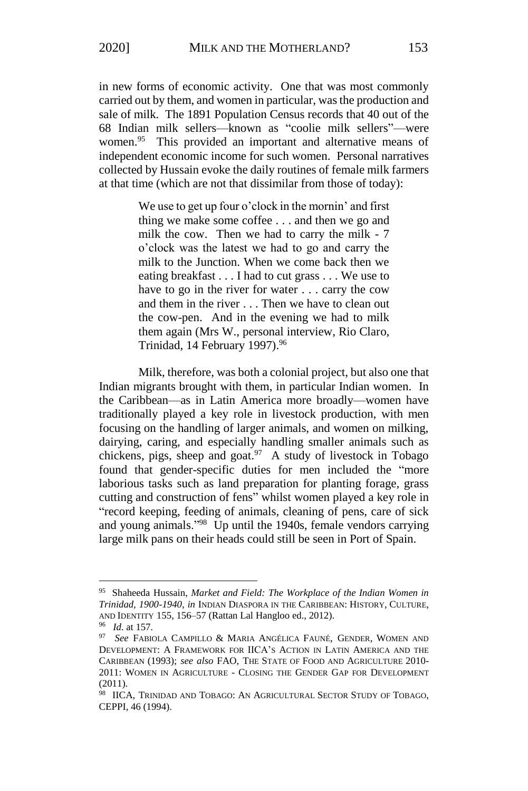in new forms of economic activity. One that was most commonly carried out by them, and women in particular, was the production and sale of milk. The 1891 Population Census records that 40 out of the 68 Indian milk sellers—known as "coolie milk sellers"—were women.<sup>95</sup> This provided an important and alternative means of independent economic income for such women. Personal narratives collected by Hussain evoke the daily routines of female milk farmers at that time (which are not that dissimilar from those of today):

> We use to get up four o'clock in the mornin' and first thing we make some coffee . . . and then we go and milk the cow. Then we had to carry the milk - 7 o'clock was the latest we had to go and carry the milk to the Junction. When we come back then we eating breakfast . . . I had to cut grass . . . We use to have to go in the river for water . . . carry the cow and them in the river . . . Then we have to clean out the cow-pen. And in the evening we had to milk them again (Mrs W., personal interview, Rio Claro, Trinidad, 14 February 1997). 96

Milk, therefore, was both a colonial project, but also one that Indian migrants brought with them, in particular Indian women. In the Caribbean—as in Latin America more broadly—women have traditionally played a key role in livestock production, with men focusing on the handling of larger animals, and women on milking, dairying, caring, and especially handling smaller animals such as chickens, pigs, sheep and goat.<sup>97</sup> A study of livestock in Tobago found that gender-specific duties for men included the "more laborious tasks such as land preparation for planting forage, grass cutting and construction of fens" whilst women played a key role in "record keeping, feeding of animals, cleaning of pens, care of sick and young animals."<sup>98</sup> Up until the 1940s, female vendors carrying large milk pans on their heads could still be seen in Port of Spain.

<sup>95</sup> Shaheeda Hussain, *Market and Field: The Workplace of the Indian Women in Trinidad, 1900-1940*, *in* INDIAN DIASPORA IN THE CARIBBEAN: HISTORY, CULTURE, AND IDENTITY 155, 156–57 (Rattan Lal Hangloo ed., 2012).

<sup>&</sup>lt;sup>96</sup> *Id.* at 157.<br><sup>97</sup> *See* FABI

See FABIOLA CAMPILLO & MARIA ANGÉLICA FAUNÉ, GENDER, WOMEN AND DEVELOPMENT: A FRAMEWORK FOR IICA'S ACTION IN LATIN AMERICA AND THE CARIBBEAN (1993); *see also* FAO, THE STATE OF FOOD AND AGRICULTURE 2010- 2011: WOMEN IN AGRICULTURE - CLOSING THE GENDER GAP FOR DEVELOPMENT (2011).

<sup>98</sup> IICA, TRINIDAD AND TOBAGO: AN AGRICULTURAL SECTOR STUDY OF TOBAGO, CEPPI, 46 (1994).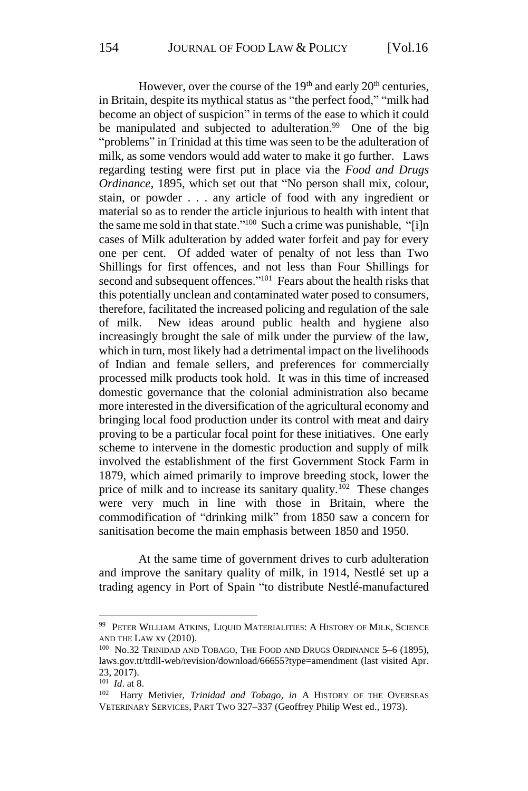However, over the course of the  $19<sup>th</sup>$  and early  $20<sup>th</sup>$  centuries, in Britain, despite its mythical status as "the perfect food," "milk had become an object of suspicion" in terms of the ease to which it could be manipulated and subjected to adulteration.<sup>99</sup> One of the big "problems" in Trinidad at this time was seen to be the adulteration of milk, as some vendors would add water to make it go further. Laws regarding testing were first put in place via the *Food and Drugs Ordinance*, 1895, which set out that "No person shall mix, colour, stain, or powder . . . any article of food with any ingredient or material so as to render the article injurious to health with intent that the same me sold in that state."<sup>100</sup> Such a crime was punishable, "[i]n cases of Milk adulteration by added water forfeit and pay for every one per cent. Of added water of penalty of not less than Two Shillings for first offences, and not less than Four Shillings for second and subsequent offences."<sup>101</sup> Fears about the health risks that this potentially unclean and contaminated water posed to consumers, therefore, facilitated the increased policing and regulation of the sale of milk. New ideas around public health and hygiene also increasingly brought the sale of milk under the purview of the law, which in turn, most likely had a detrimental impact on the livelihoods of Indian and female sellers, and preferences for commercially processed milk products took hold. It was in this time of increased domestic governance that the colonial administration also became more interested in the diversification of the agricultural economy and bringing local food production under its control with meat and dairy proving to be a particular focal point for these initiatives. One early scheme to intervene in the domestic production and supply of milk involved the establishment of the first Government Stock Farm in 1879, which aimed primarily to improve breeding stock, lower the price of milk and to increase its sanitary quality.<sup>102</sup> These changes were very much in line with those in Britain, where the commodification of "drinking milk" from 1850 saw a concern for sanitisation become the main emphasis between 1850 and 1950.

At the same time of government drives to curb adulteration and improve the sanitary quality of milk, in 1914, Nestlé set up a trading agency in Port of Spain "to distribute Nestlé-manufactured

<sup>99</sup> PETER WILLIAM ATKINS, LIQUID MATERIALITIES: A HISTORY OF MILK, SCIENCE AND THE LAW xv (2010).

<sup>&</sup>lt;sup>100</sup> No.32 TRINIDAD AND TOBAGO, THE FOOD AND DRUGS ORDINANCE 5-6 (1895), laws.gov.tt/ttdll-web/revision/download/66655?type=amendment (last visited Apr. 23, 2017).

<sup>101</sup> *Id*. at 8.

<sup>102</sup> Harry Metivier, *Trinidad and Tobago*, *in* A HISTORY OF THE OVERSEAS VETERINARY SERVICES, PART TWO 327–337 (Geoffrey Philip West ed., 1973).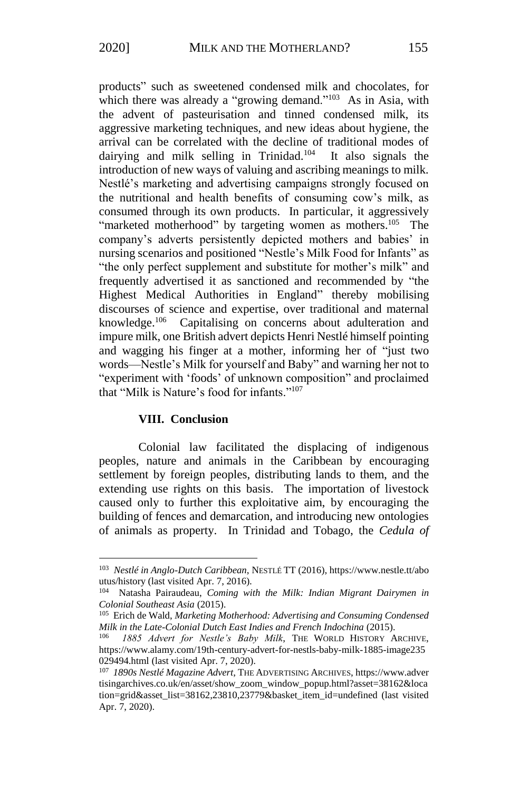products" such as sweetened condensed milk and chocolates, for which there was already a "growing demand."<sup>103</sup> As in Asia, with the advent of pasteurisation and tinned condensed milk, its aggressive marketing techniques, and new ideas about hygiene, the arrival can be correlated with the decline of traditional modes of dairying and milk selling in Trinidad.<sup>104</sup> It also signals the introduction of new ways of valuing and ascribing meanings to milk. Nestlé's marketing and advertising campaigns strongly focused on the nutritional and health benefits of consuming cow's milk, as consumed through its own products. In particular, it aggressively "marketed motherhood" by targeting women as mothers.<sup>105</sup> The company's adverts persistently depicted mothers and babies' in nursing scenarios and positioned "Nestle's Milk Food for Infants" as "the only perfect supplement and substitute for mother's milk" and frequently advertised it as sanctioned and recommended by "the Highest Medical Authorities in England" thereby mobilising discourses of science and expertise, over traditional and maternal knowledge.<sup>106</sup> Capitalising on concerns about adulteration and impure milk, one British advert depicts Henri Nestlé himself pointing and wagging his finger at a mother, informing her of "just two words—Nestle's Milk for yourself and Baby" and warning her not to "experiment with 'foods' of unknown composition" and proclaimed that "Milk is Nature's food for infants."<sup>107</sup>

#### **VIII. Conclusion**

**.** 

Colonial law facilitated the displacing of indigenous peoples, nature and animals in the Caribbean by encouraging settlement by foreign peoples, distributing lands to them, and the extending use rights on this basis. The importation of livestock caused only to further this exploitative aim, by encouraging the building of fences and demarcation, and introducing new ontologies of animals as property. In Trinidad and Tobago, the *Cedula of* 

<sup>103</sup> *Nestlé in Anglo-Dutch Caribbean*, NESTLÉ TT (2016), https://www.nestle.tt/abo utus/history (last visited Apr. 7, 2016).

<sup>104</sup> Natasha Pairaudeau, *Coming with the Milk: Indian Migrant Dairymen in Colonial Southeast Asia* (2015).

<sup>105</sup> Erich de Wald, *Marketing Motherhood: Advertising and Consuming Condensed Milk in the Late-Colonial Dutch East Indies and French Indochina* (2015).

<sup>106</sup> *1885 Advert for Nestle's Baby Milk*, THE WORLD HISTORY ARCHIVE, https://www.alamy.com/19th-century-advert-for-nestls-baby-milk-1885-image235 029494.html (last visited Apr. 7, 2020).

<sup>107</sup> *1890s Nestlé Magazine Advert*, THE ADVERTISING ARCHIVES, https://www.adver tisingarchives.co.uk/en/asset/show\_zoom\_window\_popup.html?asset=38162&loca tion=grid&asset\_list=38162,23810,23779&basket\_item\_id=undefined (last visited Apr. 7, 2020).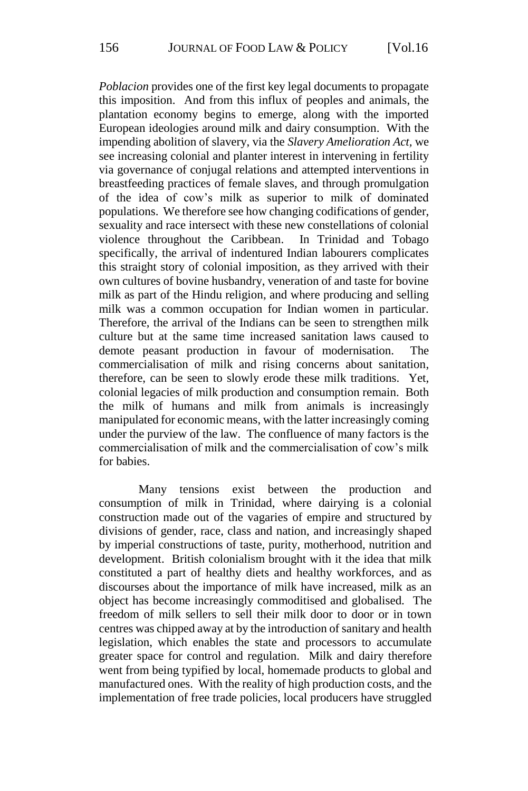*Poblacion* provides one of the first key legal documents to propagate this imposition. And from this influx of peoples and animals, the plantation economy begins to emerge, along with the imported European ideologies around milk and dairy consumption. With the impending abolition of slavery, via the *Slavery Amelioration Act,* we see increasing colonial and planter interest in intervening in fertility via governance of conjugal relations and attempted interventions in breastfeeding practices of female slaves, and through promulgation of the idea of cow's milk as superior to milk of dominated populations. We therefore see how changing codifications of gender, sexuality and race intersect with these new constellations of colonial violence throughout the Caribbean. In Trinidad and Tobago specifically, the arrival of indentured Indian labourers complicates this straight story of colonial imposition, as they arrived with their own cultures of bovine husbandry, veneration of and taste for bovine milk as part of the Hindu religion, and where producing and selling milk was a common occupation for Indian women in particular. Therefore, the arrival of the Indians can be seen to strengthen milk culture but at the same time increased sanitation laws caused to demote peasant production in favour of modernisation. The commercialisation of milk and rising concerns about sanitation, therefore, can be seen to slowly erode these milk traditions. Yet, colonial legacies of milk production and consumption remain. Both the milk of humans and milk from animals is increasingly manipulated for economic means, with the latter increasingly coming under the purview of the law. The confluence of many factors is the commercialisation of milk and the commercialisation of cow's milk for babies.

Many tensions exist between the production and consumption of milk in Trinidad, where dairying is a colonial construction made out of the vagaries of empire and structured by divisions of gender, race, class and nation, and increasingly shaped by imperial constructions of taste, purity, motherhood, nutrition and development. British colonialism brought with it the idea that milk constituted a part of healthy diets and healthy workforces, and as discourses about the importance of milk have increased, milk as an object has become increasingly commoditised and globalised. The freedom of milk sellers to sell their milk door to door or in town centres was chipped away at by the introduction of sanitary and health legislation, which enables the state and processors to accumulate greater space for control and regulation. Milk and dairy therefore went from being typified by local, homemade products to global and manufactured ones. With the reality of high production costs, and the implementation of free trade policies, local producers have struggled